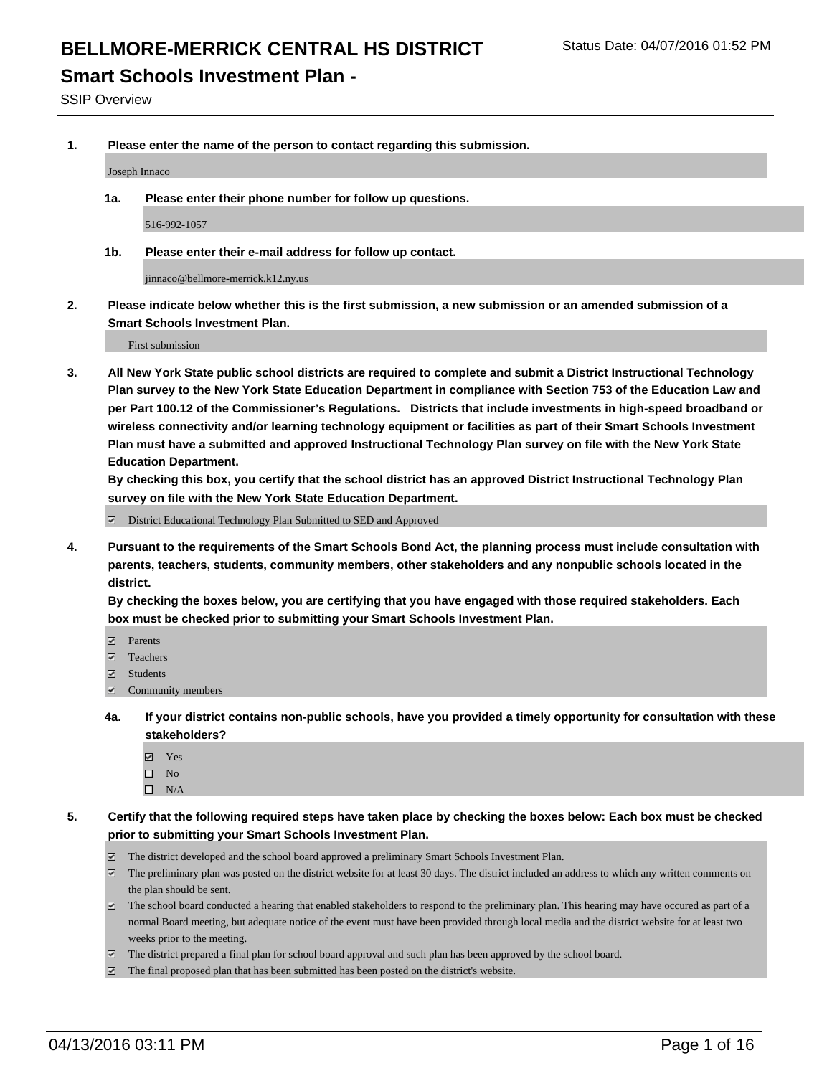#### **Smart Schools Investment Plan -**

SSIP Overview

**1. Please enter the name of the person to contact regarding this submission.**

Joseph Innaco

**1a. Please enter their phone number for follow up questions.**

516-992-1057

**1b. Please enter their e-mail address for follow up contact.**

jinnaco@bellmore-merrick.k12.ny.us

**2. Please indicate below whether this is the first submission, a new submission or an amended submission of a Smart Schools Investment Plan.**

First submission

**3. All New York State public school districts are required to complete and submit a District Instructional Technology Plan survey to the New York State Education Department in compliance with Section 753 of the Education Law and per Part 100.12 of the Commissioner's Regulations. Districts that include investments in high-speed broadband or wireless connectivity and/or learning technology equipment or facilities as part of their Smart Schools Investment Plan must have a submitted and approved Instructional Technology Plan survey on file with the New York State Education Department.** 

**By checking this box, you certify that the school district has an approved District Instructional Technology Plan survey on file with the New York State Education Department.**

■ District Educational Technology Plan Submitted to SED and Approved

**4. Pursuant to the requirements of the Smart Schools Bond Act, the planning process must include consultation with parents, teachers, students, community members, other stakeholders and any nonpublic schools located in the district.** 

**By checking the boxes below, you are certifying that you have engaged with those required stakeholders. Each box must be checked prior to submitting your Smart Schools Investment Plan.**

- **Parents**
- □ Teachers
- Students
- $\boxdot$  Community members
- **4a. If your district contains non-public schools, have you provided a timely opportunity for consultation with these stakeholders?**
	- Yes
	- $\square$  No
	- $\Box$  N/A
- **5. Certify that the following required steps have taken place by checking the boxes below: Each box must be checked prior to submitting your Smart Schools Investment Plan.**
	- The district developed and the school board approved a preliminary Smart Schools Investment Plan.
	- The preliminary plan was posted on the district website for at least 30 days. The district included an address to which any written comments on the plan should be sent.
	- $\Box$  The school board conducted a hearing that enabled stakeholders to respond to the preliminary plan. This hearing may have occured as part of a normal Board meeting, but adequate notice of the event must have been provided through local media and the district website for at least two weeks prior to the meeting.
	- The district prepared a final plan for school board approval and such plan has been approved by the school board.
	- The final proposed plan that has been submitted has been posted on the district's website.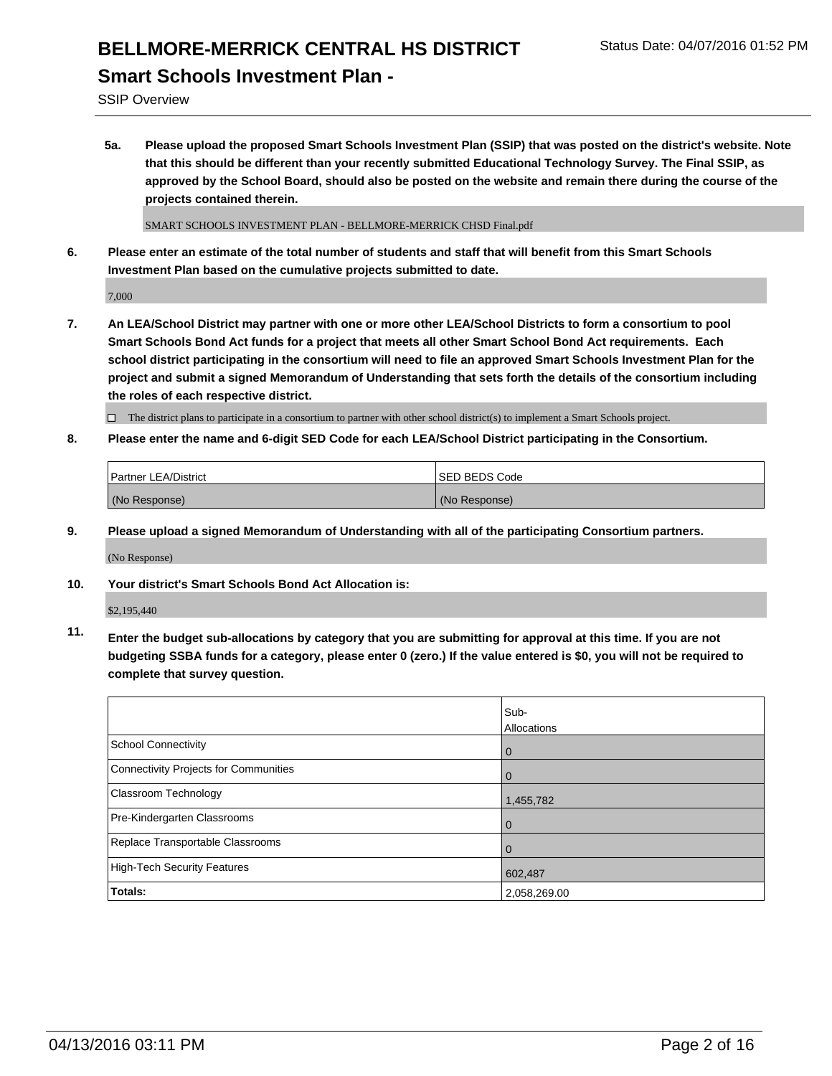# **BELLMORE-MERRICK CENTRAL HS DISTRICT** Status Date: 04/07/2016 01:52 PM **Smart Schools Investment Plan -**

SSIP Overview

**5a. Please upload the proposed Smart Schools Investment Plan (SSIP) that was posted on the district's website. Note that this should be different than your recently submitted Educational Technology Survey. The Final SSIP, as approved by the School Board, should also be posted on the website and remain there during the course of the projects contained therein.**

SMART SCHOOLS INVESTMENT PLAN - BELLMORE-MERRICK CHSD Final.pdf

**6. Please enter an estimate of the total number of students and staff that will benefit from this Smart Schools Investment Plan based on the cumulative projects submitted to date.**

7,000

**7. An LEA/School District may partner with one or more other LEA/School Districts to form a consortium to pool Smart Schools Bond Act funds for a project that meets all other Smart School Bond Act requirements. Each school district participating in the consortium will need to file an approved Smart Schools Investment Plan for the project and submit a signed Memorandum of Understanding that sets forth the details of the consortium including the roles of each respective district.**

 $\Box$  The district plans to participate in a consortium to partner with other school district(s) to implement a Smart Schools project.

**8. Please enter the name and 6-digit SED Code for each LEA/School District participating in the Consortium.**

| <b>Partner LEA/District</b> | ISED BEDS Code |
|-----------------------------|----------------|
| (No Response)               | (No Response)  |

**9. Please upload a signed Memorandum of Understanding with all of the participating Consortium partners.**

(No Response)

**10. Your district's Smart Schools Bond Act Allocation is:**

\$2,195,440

**11. Enter the budget sub-allocations by category that you are submitting for approval at this time. If you are not budgeting SSBA funds for a category, please enter 0 (zero.) If the value entered is \$0, you will not be required to complete that survey question.**

|                                       | Sub-<br>Allocations |
|---------------------------------------|---------------------|
| School Connectivity                   | 0                   |
| Connectivity Projects for Communities |                     |
| <b>Classroom Technology</b>           | 1,455,782           |
| Pre-Kindergarten Classrooms           | 0                   |
| Replace Transportable Classrooms      | Û                   |
| High-Tech Security Features           | 602,487             |
| Totals:                               | 2,058,269.00        |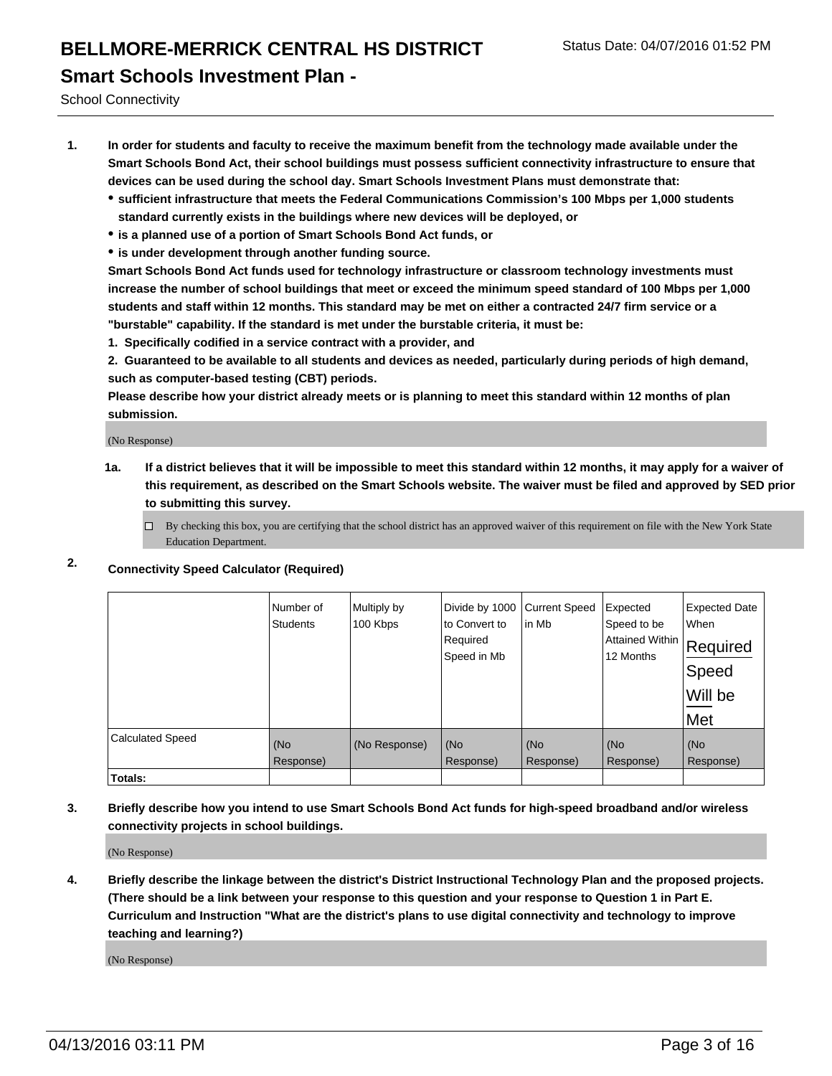#### **Smart Schools Investment Plan -**

School Connectivity

- **1. In order for students and faculty to receive the maximum benefit from the technology made available under the Smart Schools Bond Act, their school buildings must possess sufficient connectivity infrastructure to ensure that devices can be used during the school day. Smart Schools Investment Plans must demonstrate that:**
	- **sufficient infrastructure that meets the Federal Communications Commission's 100 Mbps per 1,000 students standard currently exists in the buildings where new devices will be deployed, or**
	- **is a planned use of a portion of Smart Schools Bond Act funds, or**
	- **is under development through another funding source.**

**Smart Schools Bond Act funds used for technology infrastructure or classroom technology investments must increase the number of school buildings that meet or exceed the minimum speed standard of 100 Mbps per 1,000 students and staff within 12 months. This standard may be met on either a contracted 24/7 firm service or a "burstable" capability. If the standard is met under the burstable criteria, it must be:**

**1. Specifically codified in a service contract with a provider, and**

**2. Guaranteed to be available to all students and devices as needed, particularly during periods of high demand, such as computer-based testing (CBT) periods.**

**Please describe how your district already meets or is planning to meet this standard within 12 months of plan submission.**

(No Response)

- **1a. If a district believes that it will be impossible to meet this standard within 12 months, it may apply for a waiver of this requirement, as described on the Smart Schools website. The waiver must be filed and approved by SED prior to submitting this survey.**
	- □ By checking this box, you are certifying that the school district has an approved waiver of this requirement on file with the New York State Education Department.
- **2. Connectivity Speed Calculator (Required)**

|                         | Number of<br><b>Students</b> | Multiply by<br>100 Kbps | Divide by 1000<br>to Convert to<br>Required<br>Speed in Mb | <b>Current Speed</b><br>in Mb | Expected<br>Speed to be<br>Attained Within<br>12 Months | <b>Expected Date</b><br>When<br>Required<br>Speed<br>Will be<br>Met |
|-------------------------|------------------------------|-------------------------|------------------------------------------------------------|-------------------------------|---------------------------------------------------------|---------------------------------------------------------------------|
| <b>Calculated Speed</b> | (No<br>Response)             | (No Response)           | (No<br>Response)                                           | (No<br>Response)              | (No<br>Response)                                        | (No<br>Response)                                                    |
| Totals:                 |                              |                         |                                                            |                               |                                                         |                                                                     |

**3. Briefly describe how you intend to use Smart Schools Bond Act funds for high-speed broadband and/or wireless connectivity projects in school buildings.**

(No Response)

**4. Briefly describe the linkage between the district's District Instructional Technology Plan and the proposed projects. (There should be a link between your response to this question and your response to Question 1 in Part E. Curriculum and Instruction "What are the district's plans to use digital connectivity and technology to improve teaching and learning?)**

(No Response)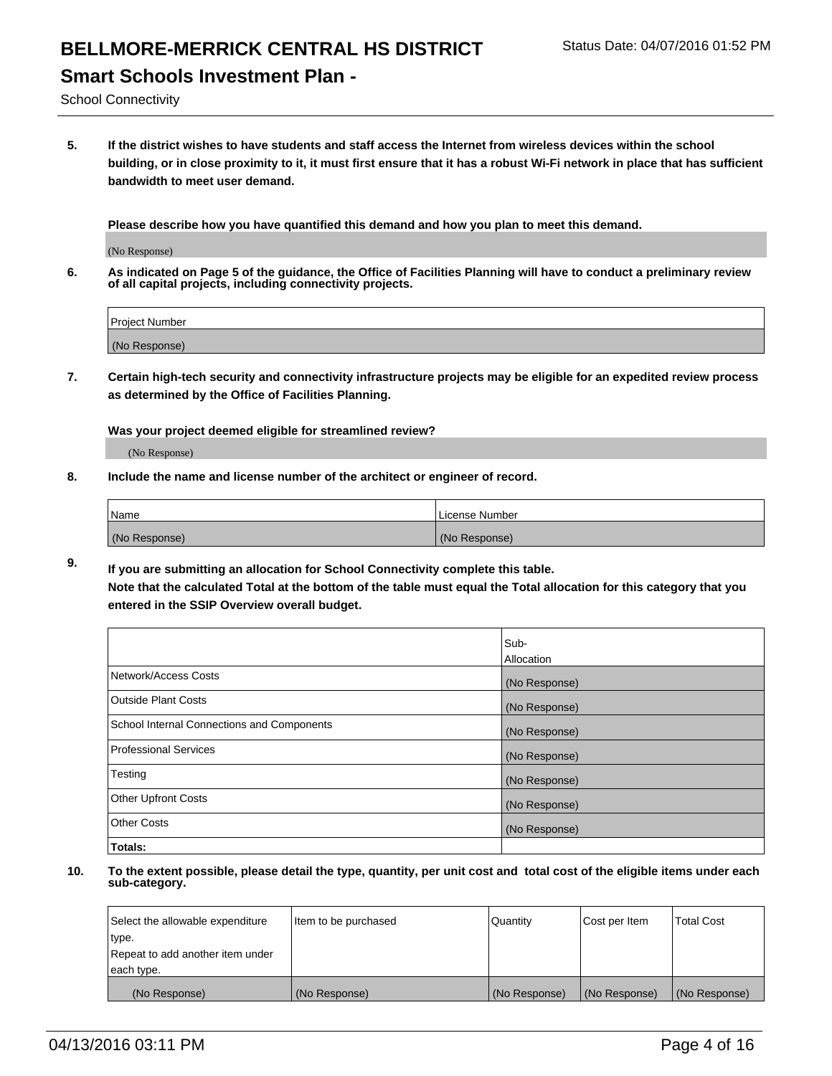## **Smart Schools Investment Plan -**

School Connectivity

**5. If the district wishes to have students and staff access the Internet from wireless devices within the school building, or in close proximity to it, it must first ensure that it has a robust Wi-Fi network in place that has sufficient bandwidth to meet user demand.**

**Please describe how you have quantified this demand and how you plan to meet this demand.**

(No Response)

**6. As indicated on Page 5 of the guidance, the Office of Facilities Planning will have to conduct a preliminary review of all capital projects, including connectivity projects.**

| <b>Project Number</b> |  |
|-----------------------|--|
| (No Response)         |  |

**7. Certain high-tech security and connectivity infrastructure projects may be eligible for an expedited review process as determined by the Office of Facilities Planning.**

**Was your project deemed eligible for streamlined review?**

(No Response)

**8. Include the name and license number of the architect or engineer of record.**

| Name          | License Number |
|---------------|----------------|
| (No Response) | (No Response)  |

**9. If you are submitting an allocation for School Connectivity complete this table. Note that the calculated Total at the bottom of the table must equal the Total allocation for this category that you entered in the SSIP Overview overall budget.** 

|                                            | Sub-<br>Allocation |
|--------------------------------------------|--------------------|
|                                            |                    |
| Network/Access Costs                       | (No Response)      |
| <b>Outside Plant Costs</b>                 | (No Response)      |
| School Internal Connections and Components | (No Response)      |
| <b>Professional Services</b>               | (No Response)      |
| Testing                                    | (No Response)      |
| <b>Other Upfront Costs</b>                 | (No Response)      |
| <b>Other Costs</b>                         | (No Response)      |
| Totals:                                    |                    |

| Select the allowable expenditure | Item to be purchased | Quantity      | Cost per Item | <b>Total Cost</b> |
|----------------------------------|----------------------|---------------|---------------|-------------------|
| type.                            |                      |               |               |                   |
| Repeat to add another item under |                      |               |               |                   |
| each type.                       |                      |               |               |                   |
| (No Response)                    | (No Response)        | (No Response) | (No Response) | (No Response)     |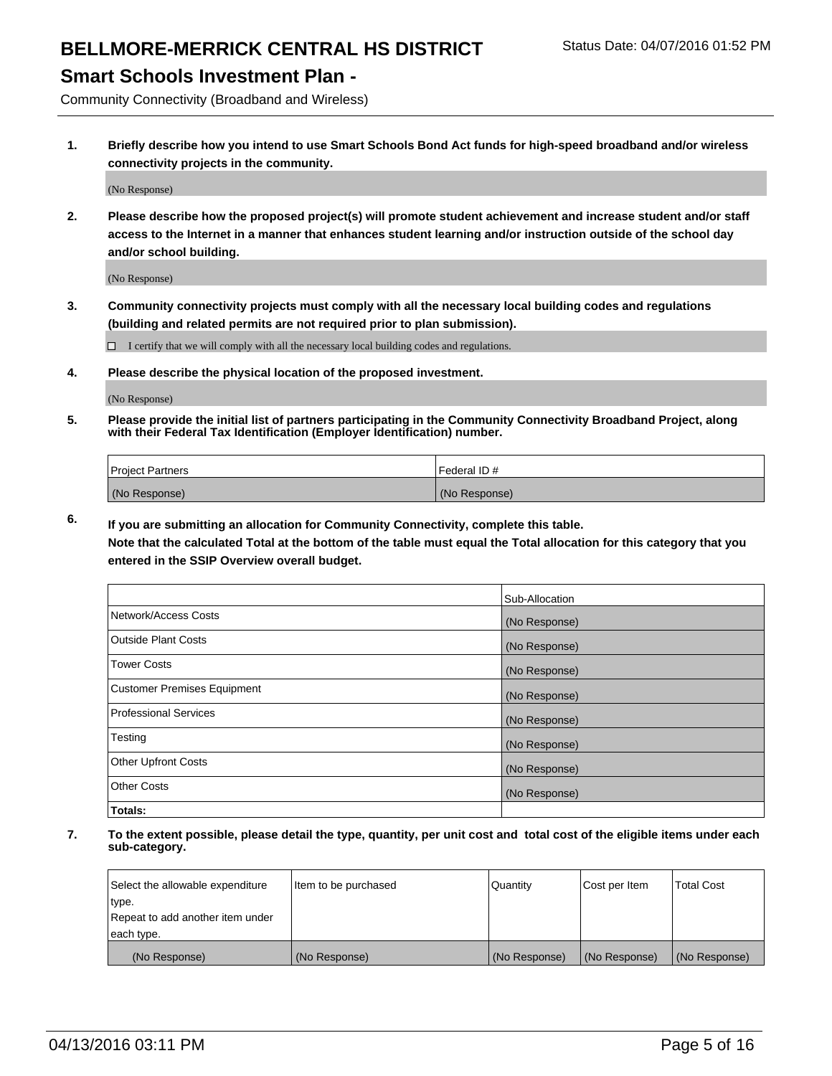#### **Smart Schools Investment Plan -**

Community Connectivity (Broadband and Wireless)

**1. Briefly describe how you intend to use Smart Schools Bond Act funds for high-speed broadband and/or wireless connectivity projects in the community.**

(No Response)

**2. Please describe how the proposed project(s) will promote student achievement and increase student and/or staff access to the Internet in a manner that enhances student learning and/or instruction outside of the school day and/or school building.**

(No Response)

**3. Community connectivity projects must comply with all the necessary local building codes and regulations (building and related permits are not required prior to plan submission).**

 $\Box$  I certify that we will comply with all the necessary local building codes and regulations.

**4. Please describe the physical location of the proposed investment.**

(No Response)

**5. Please provide the initial list of partners participating in the Community Connectivity Broadband Project, along with their Federal Tax Identification (Employer Identification) number.**

| <b>Project Partners</b> | Federal ID#   |
|-------------------------|---------------|
| (No Response)           | (No Response) |

**6. If you are submitting an allocation for Community Connectivity, complete this table.**

**Note that the calculated Total at the bottom of the table must equal the Total allocation for this category that you entered in the SSIP Overview overall budget.**

|                                    | Sub-Allocation |
|------------------------------------|----------------|
| Network/Access Costs               | (No Response)  |
| Outside Plant Costs                | (No Response)  |
| <b>Tower Costs</b>                 | (No Response)  |
| <b>Customer Premises Equipment</b> | (No Response)  |
| Professional Services              | (No Response)  |
| Testing                            | (No Response)  |
| <b>Other Upfront Costs</b>         | (No Response)  |
| Other Costs                        | (No Response)  |
| Totals:                            |                |

| Select the allowable expenditure | Item to be purchased | Quantity      | Cost per Item | <b>Total Cost</b> |
|----------------------------------|----------------------|---------------|---------------|-------------------|
| 'type.                           |                      |               |               |                   |
| Repeat to add another item under |                      |               |               |                   |
| each type.                       |                      |               |               |                   |
| (No Response)                    | (No Response)        | (No Response) | (No Response) | (No Response)     |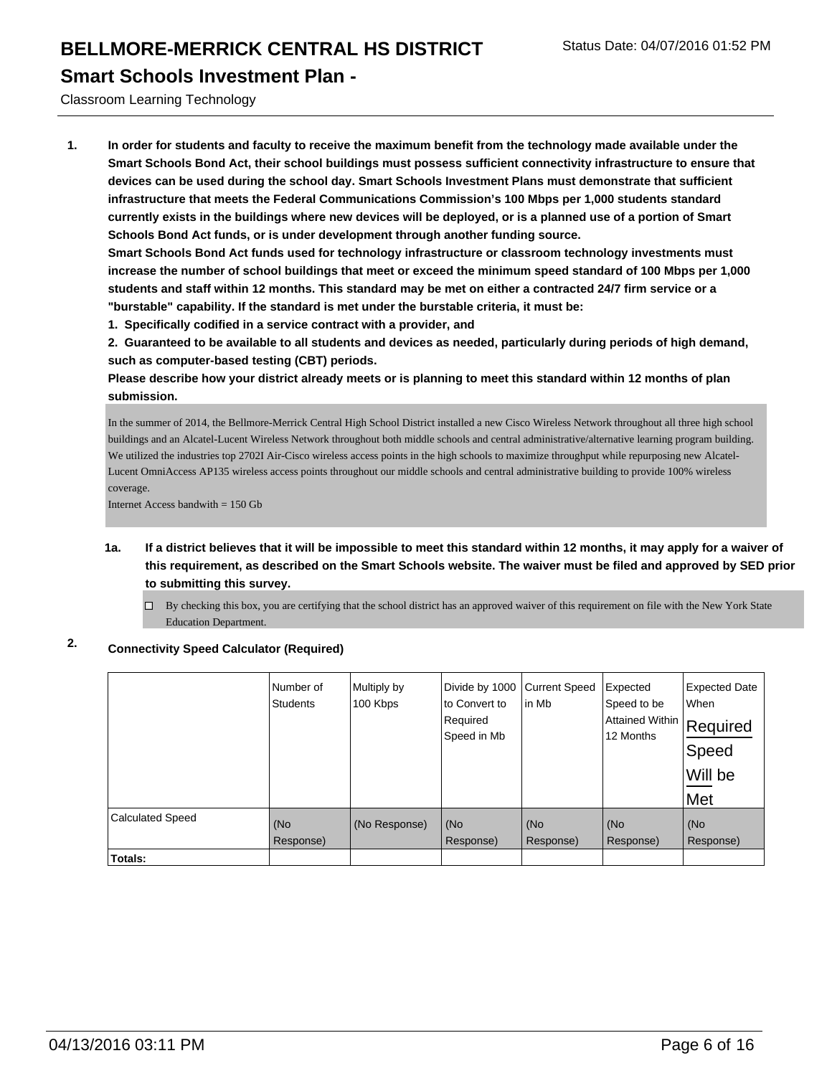#### **Smart Schools Investment Plan -**

Classroom Learning Technology

**1. In order for students and faculty to receive the maximum benefit from the technology made available under the Smart Schools Bond Act, their school buildings must possess sufficient connectivity infrastructure to ensure that devices can be used during the school day. Smart Schools Investment Plans must demonstrate that sufficient infrastructure that meets the Federal Communications Commission's 100 Mbps per 1,000 students standard currently exists in the buildings where new devices will be deployed, or is a planned use of a portion of Smart Schools Bond Act funds, or is under development through another funding source.**

**Smart Schools Bond Act funds used for technology infrastructure or classroom technology investments must increase the number of school buildings that meet or exceed the minimum speed standard of 100 Mbps per 1,000 students and staff within 12 months. This standard may be met on either a contracted 24/7 firm service or a "burstable" capability. If the standard is met under the burstable criteria, it must be:**

**1. Specifically codified in a service contract with a provider, and**

**2. Guaranteed to be available to all students and devices as needed, particularly during periods of high demand, such as computer-based testing (CBT) periods.**

**Please describe how your district already meets or is planning to meet this standard within 12 months of plan submission.**

In the summer of 2014, the Bellmore-Merrick Central High School District installed a new Cisco Wireless Network throughout all three high school buildings and an Alcatel-Lucent Wireless Network throughout both middle schools and central administrative/alternative learning program building. We utilized the industries top 2702I Air-Cisco wireless access points in the high schools to maximize throughput while repurposing new Alcatel-Lucent OmniAccess AP135 wireless access points throughout our middle schools and central administrative building to provide 100% wireless coverage.

Internet Access bandwith  $= 150$  Gb

- **1a. If a district believes that it will be impossible to meet this standard within 12 months, it may apply for a waiver of this requirement, as described on the Smart Schools website. The waiver must be filed and approved by SED prior to submitting this survey.**
	- $\Box$  By checking this box, you are certifying that the school district has an approved waiver of this requirement on file with the New York State Education Department.

#### **2. Connectivity Speed Calculator (Required)**

|                         | Number of<br><b>Students</b> | Multiply by<br>100 Kbps | Divide by 1000<br>lto Convert to<br>Required<br>Speed in Mb | <b>Current Speed</b><br>lin Mb | Expected<br>Speed to be<br><b>Attained Within</b><br>12 Months | <b>Expected Date</b><br>When<br>Required<br>Speed<br>Will be<br>Met |
|-------------------------|------------------------------|-------------------------|-------------------------------------------------------------|--------------------------------|----------------------------------------------------------------|---------------------------------------------------------------------|
| <b>Calculated Speed</b> | (No<br>Response)             | (No Response)           | (No<br>Response)                                            | KNo<br>Response)               | (No<br>Response)                                               | (No<br>Response)                                                    |
| Totals:                 |                              |                         |                                                             |                                |                                                                |                                                                     |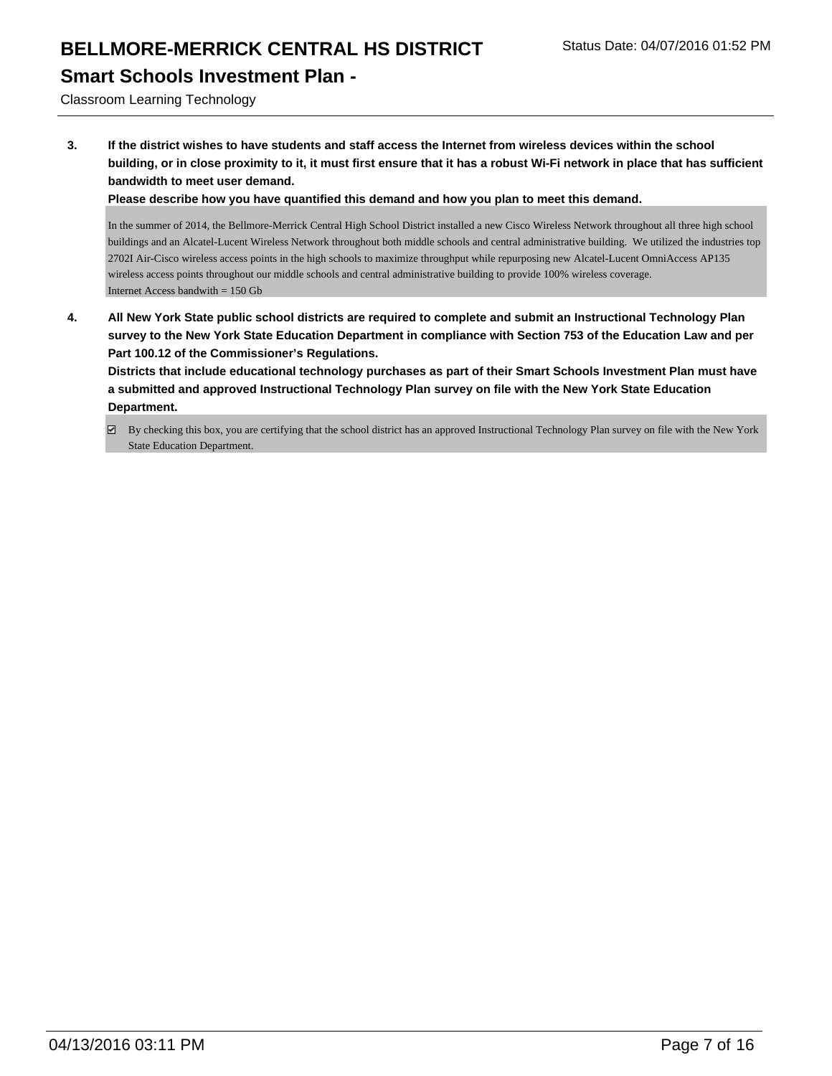## **Smart Schools Investment Plan -**

Classroom Learning Technology

**3. If the district wishes to have students and staff access the Internet from wireless devices within the school building, or in close proximity to it, it must first ensure that it has a robust Wi-Fi network in place that has sufficient bandwidth to meet user demand.**

**Please describe how you have quantified this demand and how you plan to meet this demand.**

In the summer of 2014, the Bellmore-Merrick Central High School District installed a new Cisco Wireless Network throughout all three high school buildings and an Alcatel-Lucent Wireless Network throughout both middle schools and central administrative building. We utilized the industries top 2702I Air-Cisco wireless access points in the high schools to maximize throughput while repurposing new Alcatel-Lucent OmniAccess AP135 wireless access points throughout our middle schools and central administrative building to provide 100% wireless coverage. Internet Access bandwith = 150 Gb

**4. All New York State public school districts are required to complete and submit an Instructional Technology Plan survey to the New York State Education Department in compliance with Section 753 of the Education Law and per Part 100.12 of the Commissioner's Regulations.**

**Districts that include educational technology purchases as part of their Smart Schools Investment Plan must have a submitted and approved Instructional Technology Plan survey on file with the New York State Education Department.**

By checking this box, you are certifying that the school district has an approved Instructional Technology Plan survey on file with the New York State Education Department.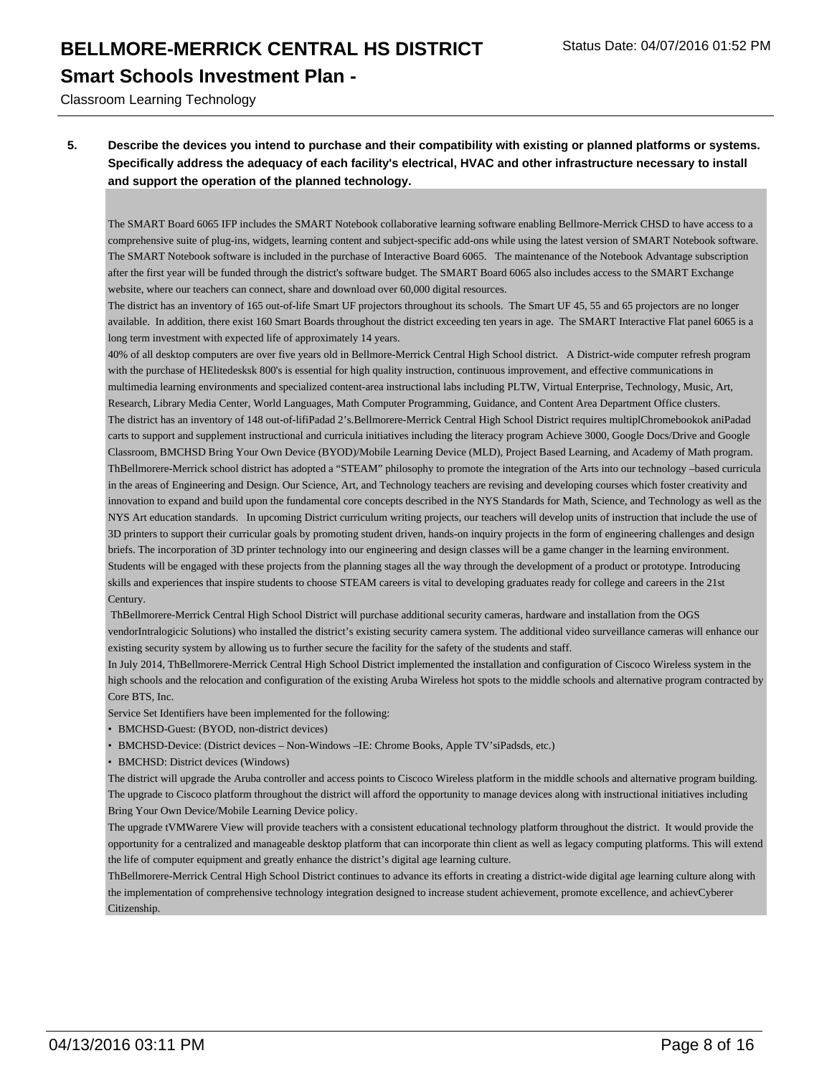#### **Smart Schools Investment Plan -**

Classroom Learning Technology

#### **5. Describe the devices you intend to purchase and their compatibility with existing or planned platforms or systems. Specifically address the adequacy of each facility's electrical, HVAC and other infrastructure necessary to install and support the operation of the planned technology.**

The SMART Board 6065 IFP includes the SMART Notebook collaborative learning software enabling Bellmore-Merrick CHSD to have access to a comprehensive suite of plug-ins, widgets, learning content and subject-specific add-ons while using the latest version of SMART Notebook software. The SMART Notebook software is included in the purchase of Interactive Board 6065. The maintenance of the Notebook Advantage subscription after the first year will be funded through the district's software budget. The SMART Board 6065 also includes access to the SMART Exchange website, where our teachers can connect, share and download over 60,000 digital resources.

The district has an inventory of 165 out-of-life Smart UF projectors throughout its schools. The Smart UF 45, 55 and 65 projectors are no longer available. In addition, there exist 160 Smart Boards throughout the district exceeding ten years in age. The SMART Interactive Flat panel 6065 is a long term investment with expected life of approximately 14 years.

40% of all desktop computers are over five years old in Bellmore-Merrick Central High School district. A District-wide computer refresh program with the purchase of HElitedesksk 800's is essential for high quality instruction, continuous improvement, and effective communications in multimedia learning environments and specialized content-area instructional labs including PLTW, Virtual Enterprise, Technology, Music, Art, Research, Library Media Center, World Languages, Math Computer Programming, Guidance, and Content Area Department Office clusters. The district has an inventory of 148 out-of-lifiPadad 2's.Bellmorere-Merrick Central High School District requires multiplChromebookok aniPadad carts to support and supplement instructional and curricula initiatives including the literacy program Achieve 3000, Google Docs/Drive and Google Classroom, BMCHSD Bring Your Own Device (BYOD)/Mobile Learning Device (MLD), Project Based Learning, and Academy of Math program. ThBellmorere-Merrick school district has adopted a "STEAM" philosophy to promote the integration of the Arts into our technology –based curricula in the areas of Engineering and Design. Our Science, Art, and Technology teachers are revising and developing courses which foster creativity and innovation to expand and build upon the fundamental core concepts described in the NYS Standards for Math, Science, and Technology as well as the NYS Art education standards. In upcoming District curriculum writing projects, our teachers will develop units of instruction that include the use of 3D printers to support their curricular goals by promoting student driven, hands-on inquiry projects in the form of engineering challenges and design briefs. The incorporation of 3D printer technology into our engineering and design classes will be a game changer in the learning environment. Students will be engaged with these projects from the planning stages all the way through the development of a product or prototype. Introducing skills and experiences that inspire students to choose STEAM careers is vital to developing graduates ready for college and careers in the 21st Century.

 ThBellmorere-Merrick Central High School District will purchase additional security cameras, hardware and installation from the OGS vendorIntralogicic Solutions) who installed the district's existing security camera system. The additional video surveillance cameras will enhance our existing security system by allowing us to further secure the facility for the safety of the students and staff.

In July 2014, ThBellmorere-Merrick Central High School District implemented the installation and configuration of Ciscoco Wireless system in the high schools and the relocation and configuration of the existing Aruba Wireless hot spots to the middle schools and alternative program contracted by Core BTS, Inc.

Service Set Identifiers have been implemented for the following:

- BMCHSD-Guest: (BYOD, non-district devices)
- BMCHSD-Device: (District devices Non-Windows –IE: Chrome Books, Apple TV'siPadsds, etc.)
- BMCHSD: District devices (Windows)

The district will upgrade the Aruba controller and access points to Ciscoco Wireless platform in the middle schools and alternative program building. The upgrade to Ciscoco platform throughout the district will afford the opportunity to manage devices along with instructional initiatives including Bring Your Own Device/Mobile Learning Device policy.

The upgrade tVMWarere View will provide teachers with a consistent educational technology platform throughout the district. It would provide the opportunity for a centralized and manageable desktop platform that can incorporate thin client as well as legacy computing platforms. This will extend the life of computer equipment and greatly enhance the district's digital age learning culture.

ThBellmorere-Merrick Central High School District continues to advance its efforts in creating a district-wide digital age learning culture along with the implementation of comprehensive technology integration designed to increase student achievement, promote excellence, and achievCyberer **Citizenship**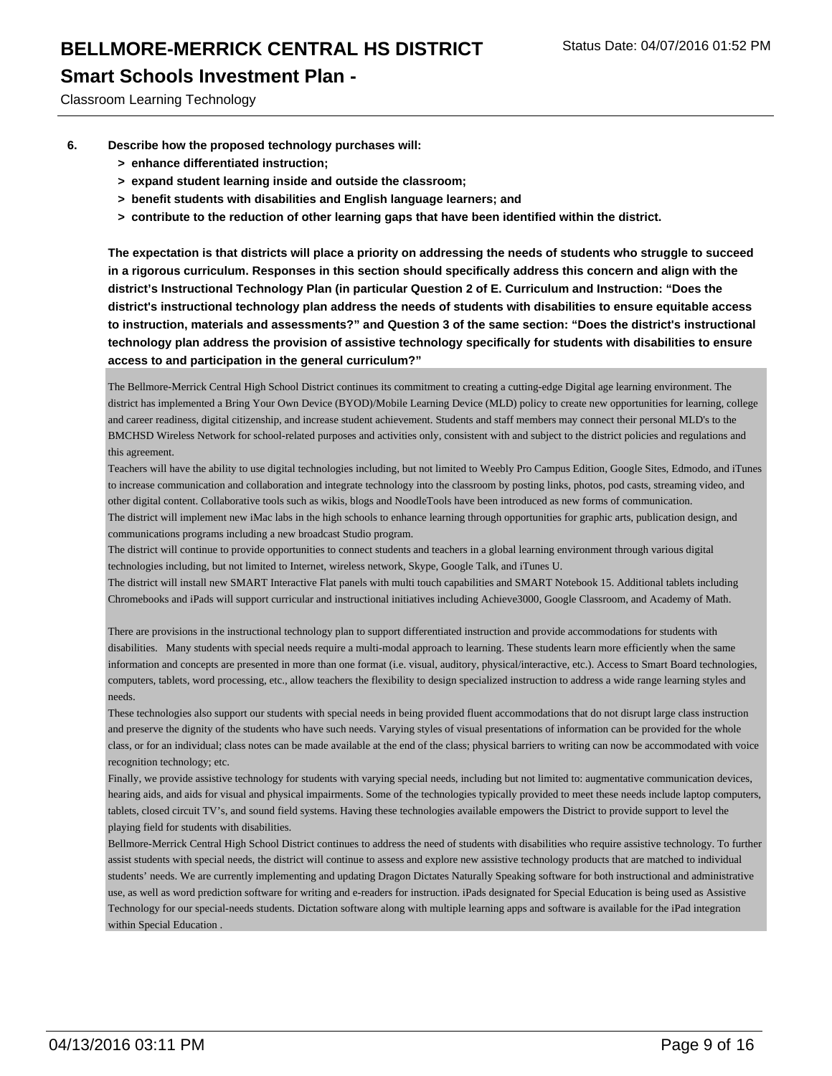### **Smart Schools Investment Plan -**

Classroom Learning Technology

- **6. Describe how the proposed technology purchases will:**
	- **> enhance differentiated instruction;**
	- **> expand student learning inside and outside the classroom;**
	- **> benefit students with disabilities and English language learners; and**
	- **> contribute to the reduction of other learning gaps that have been identified within the district.**

**The expectation is that districts will place a priority on addressing the needs of students who struggle to succeed in a rigorous curriculum. Responses in this section should specifically address this concern and align with the district's Instructional Technology Plan (in particular Question 2 of E. Curriculum and Instruction: "Does the district's instructional technology plan address the needs of students with disabilities to ensure equitable access to instruction, materials and assessments?" and Question 3 of the same section: "Does the district's instructional technology plan address the provision of assistive technology specifically for students with disabilities to ensure access to and participation in the general curriculum?"**

The Bellmore-Merrick Central High School District continues its commitment to creating a cutting-edge Digital age learning environment. The district has implemented a Bring Your Own Device (BYOD)/Mobile Learning Device (MLD) policy to create new opportunities for learning, college and career readiness, digital citizenship, and increase student achievement. Students and staff members may connect their personal MLD's to the BMCHSD Wireless Network for school-related purposes and activities only, consistent with and subject to the district policies and regulations and this agreement.

Teachers will have the ability to use digital technologies including, but not limited to Weebly Pro Campus Edition, Google Sites, Edmodo, and iTunes to increase communication and collaboration and integrate technology into the classroom by posting links, photos, pod casts, streaming video, and other digital content. Collaborative tools such as wikis, blogs and NoodleTools have been introduced as new forms of communication. The district will implement new iMac labs in the high schools to enhance learning through opportunities for graphic arts, publication design, and communications programs including a new broadcast Studio program.

The district will continue to provide opportunities to connect students and teachers in a global learning environment through various digital technologies including, but not limited to Internet, wireless network, Skype, Google Talk, and iTunes U.

The district will install new SMART Interactive Flat panels with multi touch capabilities and SMART Notebook 15. Additional tablets including Chromebooks and iPads will support curricular and instructional initiatives including Achieve3000, Google Classroom, and Academy of Math.

There are provisions in the instructional technology plan to support differentiated instruction and provide accommodations for students with disabilities. Many students with special needs require a multi-modal approach to learning. These students learn more efficiently when the same information and concepts are presented in more than one format (i.e. visual, auditory, physical/interactive, etc.). Access to Smart Board technologies, computers, tablets, word processing, etc., allow teachers the flexibility to design specialized instruction to address a wide range learning styles and needs.

These technologies also support our students with special needs in being provided fluent accommodations that do not disrupt large class instruction and preserve the dignity of the students who have such needs. Varying styles of visual presentations of information can be provided for the whole class, or for an individual; class notes can be made available at the end of the class; physical barriers to writing can now be accommodated with voice recognition technology; etc.

Finally, we provide assistive technology for students with varying special needs, including but not limited to: augmentative communication devices, hearing aids, and aids for visual and physical impairments. Some of the technologies typically provided to meet these needs include laptop computers, tablets, closed circuit TV's, and sound field systems. Having these technologies available empowers the District to provide support to level the playing field for students with disabilities.

Bellmore-Merrick Central High School District continues to address the need of students with disabilities who require assistive technology. To further assist students with special needs, the district will continue to assess and explore new assistive technology products that are matched to individual students' needs. We are currently implementing and updating Dragon Dictates Naturally Speaking software for both instructional and administrative use, as well as word prediction software for writing and e-readers for instruction. iPads designated for Special Education is being used as Assistive Technology for our special-needs students. Dictation software along with multiple learning apps and software is available for the iPad integration within Special Education .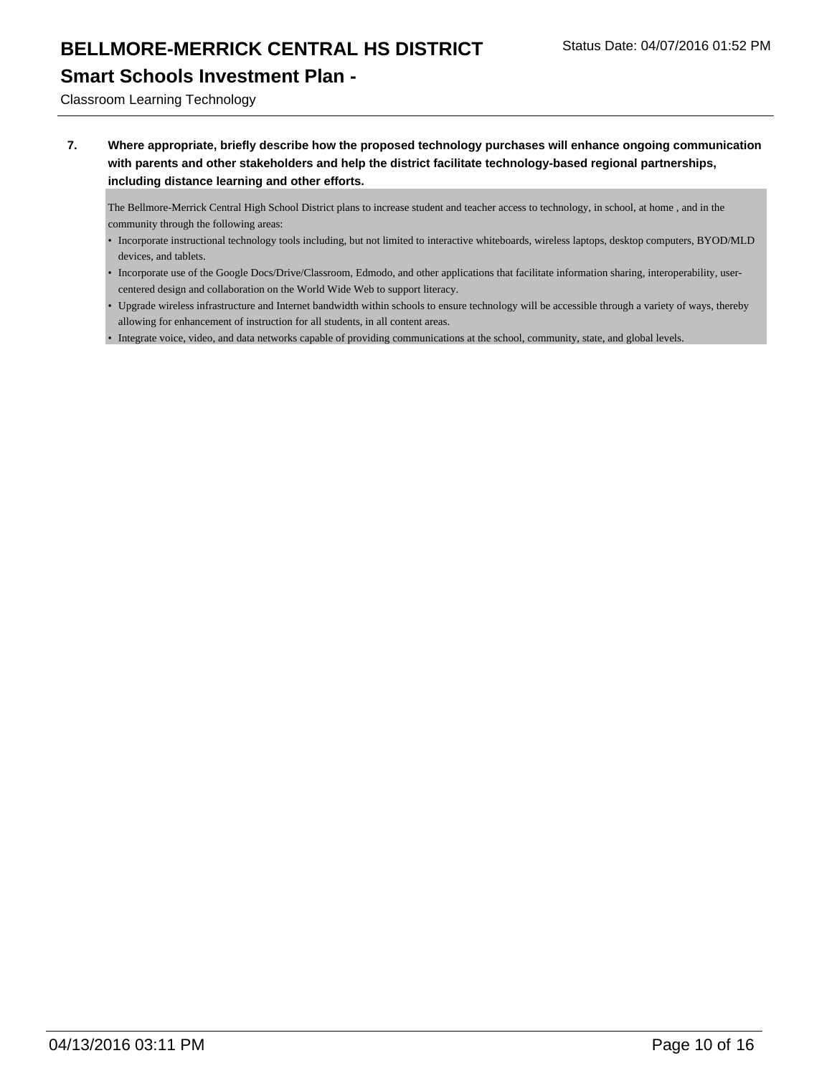## **Smart Schools Investment Plan -**

Classroom Learning Technology

**7. Where appropriate, briefly describe how the proposed technology purchases will enhance ongoing communication with parents and other stakeholders and help the district facilitate technology-based regional partnerships, including distance learning and other efforts.**

The Bellmore-Merrick Central High School District plans to increase student and teacher access to technology, in school, at home , and in the community through the following areas:

- Incorporate instructional technology tools including, but not limited to interactive whiteboards, wireless laptops, desktop computers, BYOD/MLD devices, and tablets.
- Incorporate use of the Google Docs/Drive/Classroom, Edmodo, and other applications that facilitate information sharing, interoperability, usercentered design and collaboration on the World Wide Web to support literacy.
- Upgrade wireless infrastructure and Internet bandwidth within schools to ensure technology will be accessible through a variety of ways, thereby allowing for enhancement of instruction for all students, in all content areas.
- Integrate voice, video, and data networks capable of providing communications at the school, community, state, and global levels.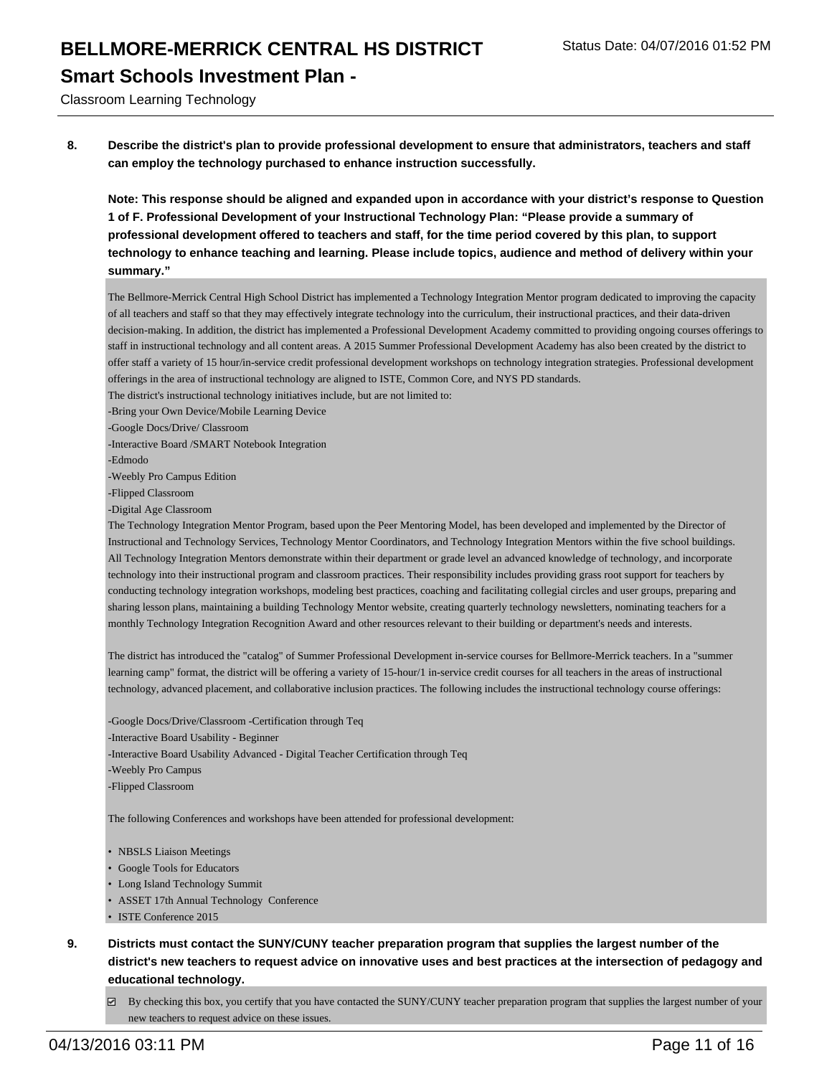#### **Smart Schools Investment Plan -**

Classroom Learning Technology

**8. Describe the district's plan to provide professional development to ensure that administrators, teachers and staff can employ the technology purchased to enhance instruction successfully.**

**Note: This response should be aligned and expanded upon in accordance with your district's response to Question 1 of F. Professional Development of your Instructional Technology Plan: "Please provide a summary of professional development offered to teachers and staff, for the time period covered by this plan, to support technology to enhance teaching and learning. Please include topics, audience and method of delivery within your summary."**

The Bellmore-Merrick Central High School District has implemented a Technology Integration Mentor program dedicated to improving the capacity of all teachers and staff so that they may effectively integrate technology into the curriculum, their instructional practices, and their data-driven decision-making. In addition, the district has implemented a Professional Development Academy committed to providing ongoing courses offerings to staff in instructional technology and all content areas. A 2015 Summer Professional Development Academy has also been created by the district to offer staff a variety of 15 hour/in-service credit professional development workshops on technology integration strategies. Professional development offerings in the area of instructional technology are aligned to ISTE, Common Core, and NYS PD standards.

- The district's instructional technology initiatives include, but are not limited to:
- -Bring your Own Device/Mobile Learning Device
- -Google Docs/Drive/ Classroom
- -Interactive Board /SMART Notebook Integration
- -Edmodo
- -Weebly Pro Campus Edition
- -Flipped Classroom
- -Digital Age Classroom

The Technology Integration Mentor Program, based upon the Peer Mentoring Model, has been developed and implemented by the Director of Instructional and Technology Services, Technology Mentor Coordinators, and Technology Integration Mentors within the five school buildings. All Technology Integration Mentors demonstrate within their department or grade level an advanced knowledge of technology, and incorporate technology into their instructional program and classroom practices. Their responsibility includes providing grass root support for teachers by conducting technology integration workshops, modeling best practices, coaching and facilitating collegial circles and user groups, preparing and sharing lesson plans, maintaining a building Technology Mentor website, creating quarterly technology newsletters, nominating teachers for a monthly Technology Integration Recognition Award and other resources relevant to their building or department's needs and interests.

The district has introduced the "catalog" of Summer Professional Development in-service courses for Bellmore-Merrick teachers. In a "summer learning camp" format, the district will be offering a variety of 15-hour/1 in-service credit courses for all teachers in the areas of instructional technology, advanced placement, and collaborative inclusion practices. The following includes the instructional technology course offerings:

-Google Docs/Drive/Classroom -Certification through Teq -Interactive Board Usability - Beginner -Interactive Board Usability Advanced - Digital Teacher Certification through Teq -Weebly Pro Campus -Flipped Classroom

The following Conferences and workshops have been attended for professional development:

- NBSLS Liaison Meetings
- Google Tools for Educators
- Long Island Technology Summit
- ASSET 17th Annual Technology Conference
- ISTE Conference 2015
- **9. Districts must contact the SUNY/CUNY teacher preparation program that supplies the largest number of the district's new teachers to request advice on innovative uses and best practices at the intersection of pedagogy and educational technology.**
	- By checking this box, you certify that you have contacted the SUNY/CUNY teacher preparation program that supplies the largest number of your new teachers to request advice on these issues.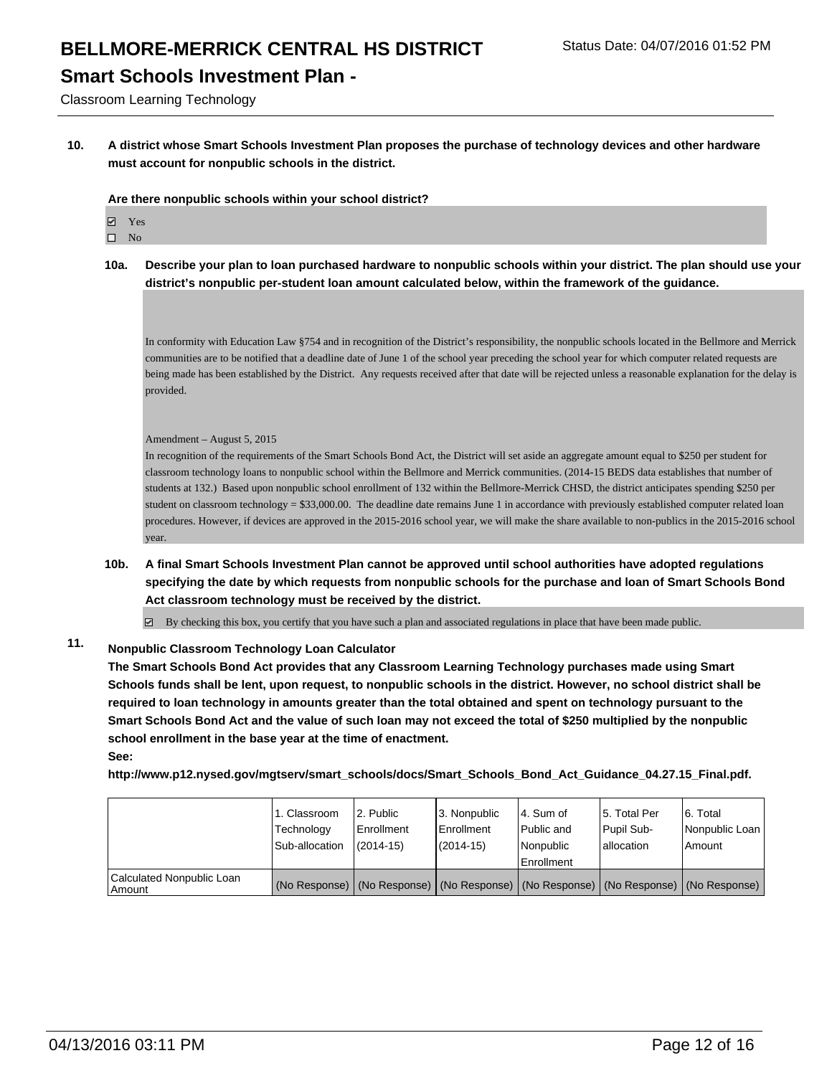## **Smart Schools Investment Plan -**

Classroom Learning Technology

**10. A district whose Smart Schools Investment Plan proposes the purchase of technology devices and other hardware must account for nonpublic schools in the district.**

**Are there nonpublic schools within your school district?**

- Yes
- $\square$  No
- **10a. Describe your plan to loan purchased hardware to nonpublic schools within your district. The plan should use your district's nonpublic per-student loan amount calculated below, within the framework of the guidance.**

In conformity with Education Law §754 and in recognition of the District's responsibility, the nonpublic schools located in the Bellmore and Merrick communities are to be notified that a deadline date of June 1 of the school year preceding the school year for which computer related requests are being made has been established by the District. Any requests received after that date will be rejected unless a reasonable explanation for the delay is provided.

#### Amendment – August 5, 2015

In recognition of the requirements of the Smart Schools Bond Act, the District will set aside an aggregate amount equal to \$250 per student for classroom technology loans to nonpublic school within the Bellmore and Merrick communities. (2014-15 BEDS data establishes that number of students at 132.) Based upon nonpublic school enrollment of 132 within the Bellmore-Merrick CHSD, the district anticipates spending \$250 per student on classroom technology =  $$33,000.00$ . The deadline date remains June 1 in accordance with previously established computer related loan procedures. However, if devices are approved in the 2015-2016 school year, we will make the share available to non-publics in the 2015-2016 school year.

**10b. A final Smart Schools Investment Plan cannot be approved until school authorities have adopted regulations specifying the date by which requests from nonpublic schools for the purchase and loan of Smart Schools Bond Act classroom technology must be received by the district.**

 $\boxtimes$  By checking this box, you certify that you have such a plan and associated regulations in place that have been made public.

#### **11. Nonpublic Classroom Technology Loan Calculator**

**The Smart Schools Bond Act provides that any Classroom Learning Technology purchases made using Smart Schools funds shall be lent, upon request, to nonpublic schools in the district. However, no school district shall be required to loan technology in amounts greater than the total obtained and spent on technology pursuant to the Smart Schools Bond Act and the value of such loan may not exceed the total of \$250 multiplied by the nonpublic school enrollment in the base year at the time of enactment. See:**

**http://www.p12.nysed.gov/mgtserv/smart\_schools/docs/Smart\_Schools\_Bond\_Act\_Guidance\_04.27.15\_Final.pdf.**

|                                       | 1. Classroom<br>Technology<br>Sub-allocation | 2. Public<br>Enrollment<br>$(2014-15)$ | 3. Nonpublic<br><b>Enrollment</b><br>$(2014-15)$                                              | 4. Sum of<br>Public and<br>Nonpublic<br><b>Enrollment</b> | 5. Total Per<br>Pupil Sub-<br>lallocation | 6. Total<br>Nonpublic Loan<br>l Amount |
|---------------------------------------|----------------------------------------------|----------------------------------------|-----------------------------------------------------------------------------------------------|-----------------------------------------------------------|-------------------------------------------|----------------------------------------|
| Calculated Nonpublic Loan<br>l Amount |                                              |                                        | (No Response)   (No Response)   (No Response)   (No Response)   (No Response)   (No Response) |                                                           |                                           |                                        |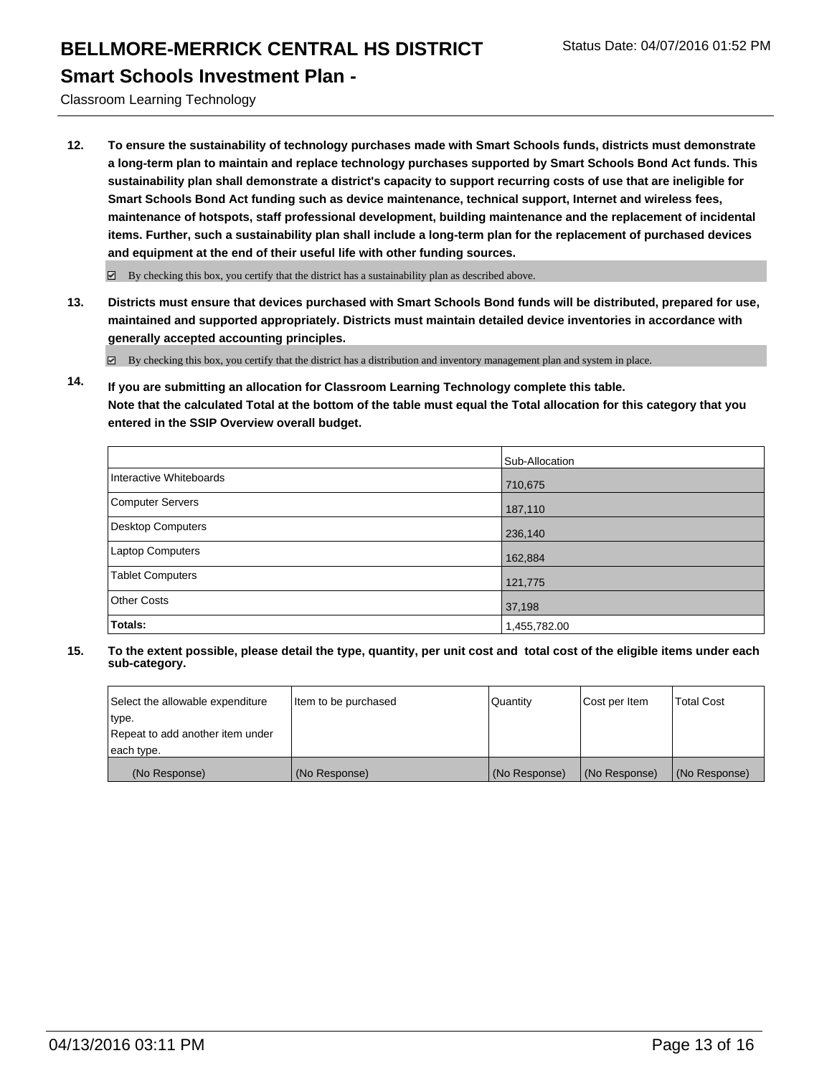#### **Smart Schools Investment Plan -**

Classroom Learning Technology

**12. To ensure the sustainability of technology purchases made with Smart Schools funds, districts must demonstrate a long-term plan to maintain and replace technology purchases supported by Smart Schools Bond Act funds. This sustainability plan shall demonstrate a district's capacity to support recurring costs of use that are ineligible for Smart Schools Bond Act funding such as device maintenance, technical support, Internet and wireless fees, maintenance of hotspots, staff professional development, building maintenance and the replacement of incidental items. Further, such a sustainability plan shall include a long-term plan for the replacement of purchased devices and equipment at the end of their useful life with other funding sources.**

 $\boxdot$  By checking this box, you certify that the district has a sustainability plan as described above.

**13. Districts must ensure that devices purchased with Smart Schools Bond funds will be distributed, prepared for use, maintained and supported appropriately. Districts must maintain detailed device inventories in accordance with generally accepted accounting principles.**

By checking this box, you certify that the district has a distribution and inventory management plan and system in place.

**14. If you are submitting an allocation for Classroom Learning Technology complete this table. Note that the calculated Total at the bottom of the table must equal the Total allocation for this category that you entered in the SSIP Overview overall budget.**

|                          | Sub-Allocation |
|--------------------------|----------------|
| Interactive Whiteboards  | 710,675        |
| <b>Computer Servers</b>  | 187,110        |
| <b>Desktop Computers</b> | 236,140        |
| Laptop Computers         | 162,884        |
| <b>Tablet Computers</b>  | 121,775        |
| <b>Other Costs</b>       | 37,198         |
| Totals:                  | 1,455,782.00   |

| Select the allowable expenditure | Item to be purchased | Quantity      | Cost per Item | <b>Total Cost</b> |
|----------------------------------|----------------------|---------------|---------------|-------------------|
| type.                            |                      |               |               |                   |
| Repeat to add another item under |                      |               |               |                   |
| each type.                       |                      |               |               |                   |
| (No Response)                    | (No Response)        | (No Response) | (No Response) | (No Response)     |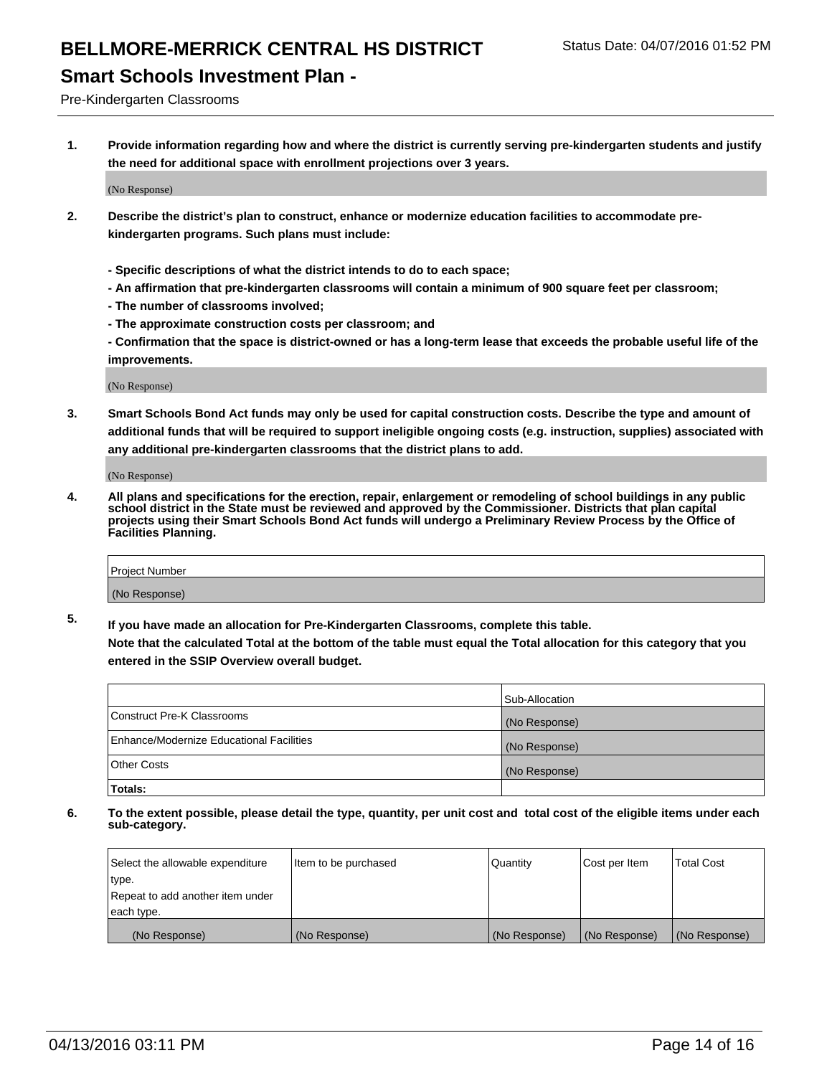## **Smart Schools Investment Plan -**

Pre-Kindergarten Classrooms

**1. Provide information regarding how and where the district is currently serving pre-kindergarten students and justify the need for additional space with enrollment projections over 3 years.**

(No Response)

- **2. Describe the district's plan to construct, enhance or modernize education facilities to accommodate prekindergarten programs. Such plans must include:**
	- **Specific descriptions of what the district intends to do to each space;**
	- **An affirmation that pre-kindergarten classrooms will contain a minimum of 900 square feet per classroom;**
	- **The number of classrooms involved;**
	- **The approximate construction costs per classroom; and**
	- **Confirmation that the space is district-owned or has a long-term lease that exceeds the probable useful life of the improvements.**

(No Response)

**3. Smart Schools Bond Act funds may only be used for capital construction costs. Describe the type and amount of additional funds that will be required to support ineligible ongoing costs (e.g. instruction, supplies) associated with any additional pre-kindergarten classrooms that the district plans to add.**

(No Response)

**4. All plans and specifications for the erection, repair, enlargement or remodeling of school buildings in any public school district in the State must be reviewed and approved by the Commissioner. Districts that plan capital projects using their Smart Schools Bond Act funds will undergo a Preliminary Review Process by the Office of Facilities Planning.**

| Project Number |  |
|----------------|--|
| (No Response)  |  |

**5. If you have made an allocation for Pre-Kindergarten Classrooms, complete this table. Note that the calculated Total at the bottom of the table must equal the Total allocation for this category that you**

**entered in the SSIP Overview overall budget.**

|                                          | Sub-Allocation |
|------------------------------------------|----------------|
| Construct Pre-K Classrooms               | (No Response)  |
| Enhance/Modernize Educational Facilities | (No Response)  |
| Other Costs                              | (No Response)  |
| Totals:                                  |                |

| Select the allowable expenditure | Item to be purchased | l Quantitv    | Cost per Item | <b>Total Cost</b> |
|----------------------------------|----------------------|---------------|---------------|-------------------|
| type.                            |                      |               |               |                   |
| Repeat to add another item under |                      |               |               |                   |
| each type.                       |                      |               |               |                   |
| (No Response)                    | (No Response)        | (No Response) | (No Response) | (No Response)     |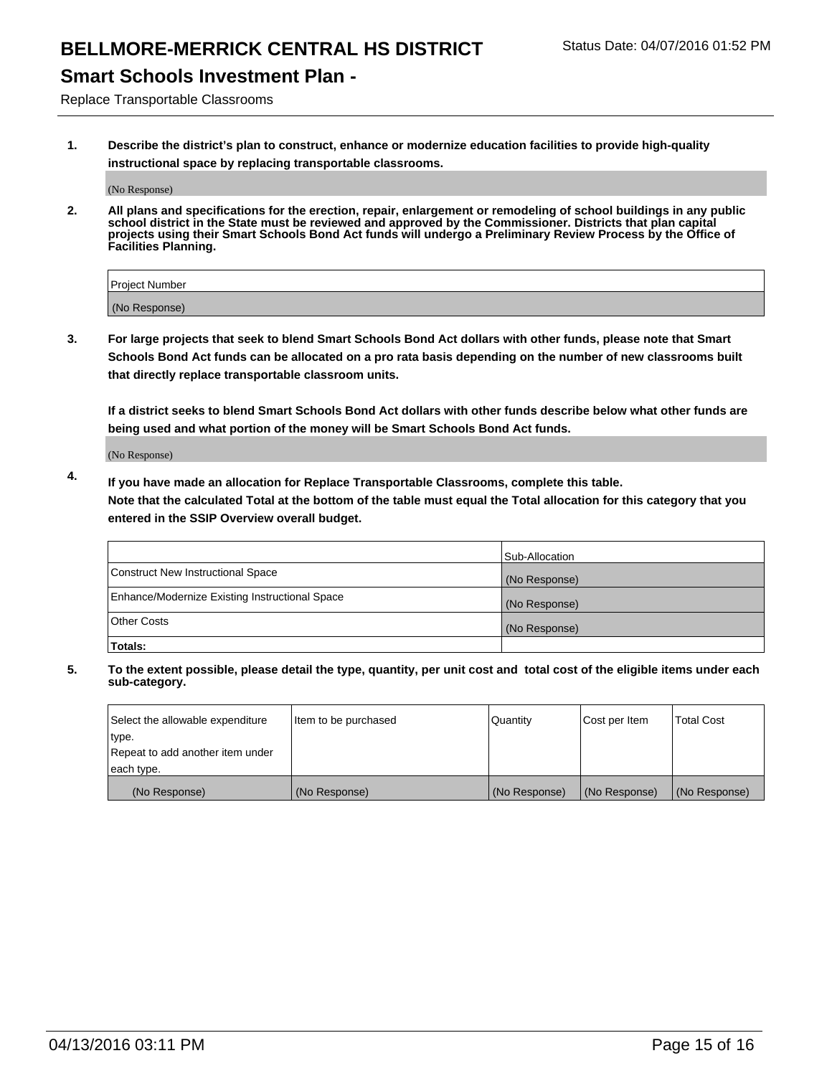# **Smart Schools Investment Plan -**

Replace Transportable Classrooms

**1. Describe the district's plan to construct, enhance or modernize education facilities to provide high-quality instructional space by replacing transportable classrooms.**

(No Response)

**2. All plans and specifications for the erection, repair, enlargement or remodeling of school buildings in any public school district in the State must be reviewed and approved by the Commissioner. Districts that plan capital projects using their Smart Schools Bond Act funds will undergo a Preliminary Review Process by the Office of Facilities Planning.**

| Project Number |  |
|----------------|--|
| (No Response)  |  |

**3. For large projects that seek to blend Smart Schools Bond Act dollars with other funds, please note that Smart Schools Bond Act funds can be allocated on a pro rata basis depending on the number of new classrooms built that directly replace transportable classroom units.**

**If a district seeks to blend Smart Schools Bond Act dollars with other funds describe below what other funds are being used and what portion of the money will be Smart Schools Bond Act funds.**

(No Response)

**4. If you have made an allocation for Replace Transportable Classrooms, complete this table. Note that the calculated Total at the bottom of the table must equal the Total allocation for this category that you entered in the SSIP Overview overall budget.**

|                                                | Sub-Allocation |
|------------------------------------------------|----------------|
| Construct New Instructional Space              | (No Response)  |
| Enhance/Modernize Existing Instructional Space | (No Response)  |
| <b>Other Costs</b>                             | (No Response)  |
| Totals:                                        |                |

| Select the allowable expenditure | Item to be purchased | Quantity      | Cost per Item | <b>Total Cost</b> |
|----------------------------------|----------------------|---------------|---------------|-------------------|
| type.                            |                      |               |               |                   |
| Repeat to add another item under |                      |               |               |                   |
| each type.                       |                      |               |               |                   |
| (No Response)                    | (No Response)        | (No Response) | (No Response) | (No Response)     |